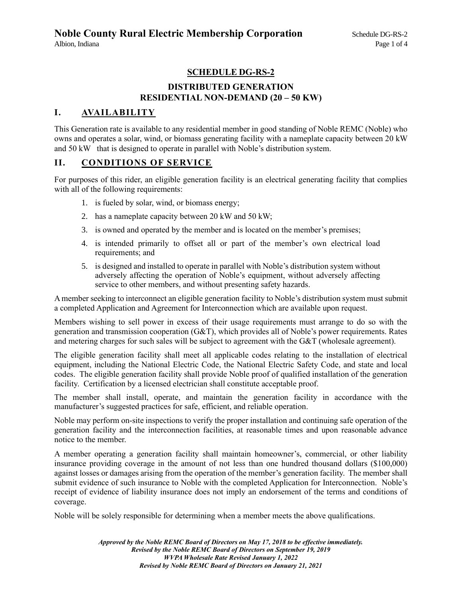# **SCHEDULE DG-RS-2**

# **DISTRIBUTED GENERATION RESIDENTIAL NON-DEMAND (20 – 50 KW)**

## **I. AVAILABILITY**

This Generation rate is available to any residential member in good standing of Noble REMC (Noble) who owns and operates a solar, wind, or biomass generating facility with a nameplate capacity between 20 kW and 50 kW that is designed to operate in parallel with Noble's distribution system.

## **II. CONDITIONS OF SERVICE**

For purposes of this rider, an eligible generation facility is an electrical generating facility that complies with all of the following requirements:

- 1. is fueled by solar, wind, or biomass energy;
- 2. has a nameplate capacity between 20 kW and 50 kW;
- 3. is owned and operated by the member and is located on the member's premises;
- 4. is intended primarily to offset all or part of the member's own electrical load requirements; and
- 5. is designed and installed to operate in parallel with Noble's distribution system without adversely affecting the operation of Noble's equipment, without adversely affecting service to other members, and without presenting safety hazards.

A member seeking to interconnect an eligible generation facility to Noble's distribution system must submit a completed Application and Agreement for Interconnection which are available upon request.

Members wishing to sell power in excess of their usage requirements must arrange to do so with the generation and transmission cooperation (G&T), which provides all of Noble's power requirements. Rates and metering charges for such sales will be subject to agreement with the G&T (wholesale agreement).

The eligible generation facility shall meet all applicable codes relating to the installation of electrical equipment, including the National Electric Code, the National Electric Safety Code, and state and local codes. The eligible generation facility shall provide Noble proof of qualified installation of the generation facility. Certification by a licensed electrician shall constitute acceptable proof.

The member shall install, operate, and maintain the generation facility in accordance with the manufacturer's suggested practices for safe, efficient, and reliable operation.

Noble may perform on-site inspections to verify the proper installation and continuing safe operation of the generation facility and the interconnection facilities, at reasonable times and upon reasonable advance notice to the member.

A member operating a generation facility shall maintain homeowner's, commercial, or other liability insurance providing coverage in the amount of not less than one hundred thousand dollars (\$100,000) against losses or damages arising from the operation of the member's generation facility. The member shall submit evidence of such insurance to Noble with the completed Application for Interconnection. Noble's receipt of evidence of liability insurance does not imply an endorsement of the terms and conditions of coverage.

Noble will be solely responsible for determining when a member meets the above qualifications.

*Approved by the Noble REMC Board of Directors on May 17, 2018 to be effective immediately. Revised by the Noble REMC Board of Directors on September 19, 2019 WVPA Wholesale Rate Revised January 1, 2022 Revised by Noble REMC Board of Directors on January 21, 2021*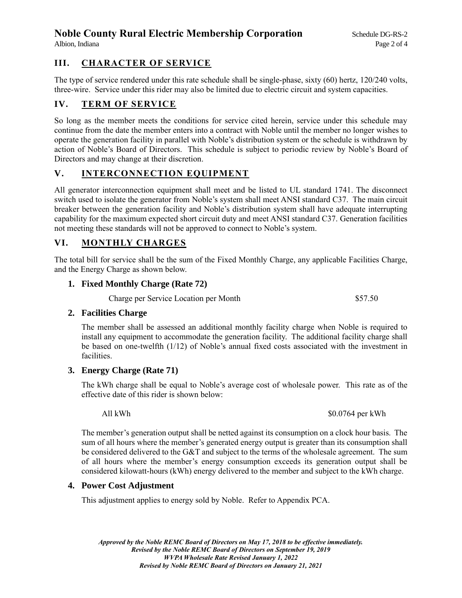# **Noble County Rural Electric Membership Corporation** Schedule DG-RS-2

# **III. CHARACTER OF SERVICE**

The type of service rendered under this rate schedule shall be single-phase, sixty (60) hertz, 120/240 volts, three-wire. Service under this rider may also be limited due to electric circuit and system capacities.

# **IV. TERM OF SERVICE**

So long as the member meets the conditions for service cited herein, service under this schedule may continue from the date the member enters into a contract with Noble until the member no longer wishes to operate the generation facility in parallel with Noble's distribution system or the schedule is withdrawn by action of Noble's Board of Directors. This schedule is subject to periodic review by Noble's Board of Directors and may change at their discretion.

# **V. INTERCONNECTION EQUIPMENT**

All generator interconnection equipment shall meet and be listed to UL standard 1741. The disconnect switch used to isolate the generator from Noble's system shall meet ANSI standard C37. The main circuit breaker between the generation facility and Noble's distribution system shall have adequate interrupting capability for the maximum expected short circuit duty and meet ANSI standard C37. Generation facilities not meeting these standards will not be approved to connect to Noble's system.

# **VI. MONTHLY CHARGES**

The total bill for service shall be the sum of the Fixed Monthly Charge, any applicable Facilities Charge, and the Energy Charge as shown below.

### **1. Fixed Monthly Charge (Rate 72)**

Charge per Service Location per Month \$57.50

### **2. Facilities Charge**

The member shall be assessed an additional monthly facility charge when Noble is required to install any equipment to accommodate the generation facility. The additional facility charge shall be based on one-twelfth (1/12) of Noble's annual fixed costs associated with the investment in facilities.

### **3. Energy Charge (Rate 71)**

The kWh charge shall be equal to Noble's average cost of wholesale power. This rate as of the effective date of this rider is shown below:

All kWh  $$0.0764$  per kWh

The member's generation output shall be netted against its consumption on a clock hour basis. The sum of all hours where the member's generated energy output is greater than its consumption shall be considered delivered to the G&T and subject to the terms of the wholesale agreement. The sum of all hours where the member's energy consumption exceeds its generation output shall be considered kilowatt-hours (kWh) energy delivered to the member and subject to the kWh charge.

### **4. Power Cost Adjustment**

This adjustment applies to energy sold by Noble. Refer to Appendix PCA.

*Approved by the Noble REMC Board of Directors on May 17, 2018 to be effective immediately. Revised by the Noble REMC Board of Directors on September 19, 2019 WVPA Wholesale Rate Revised January 1, 2022 Revised by Noble REMC Board of Directors on January 21, 2021*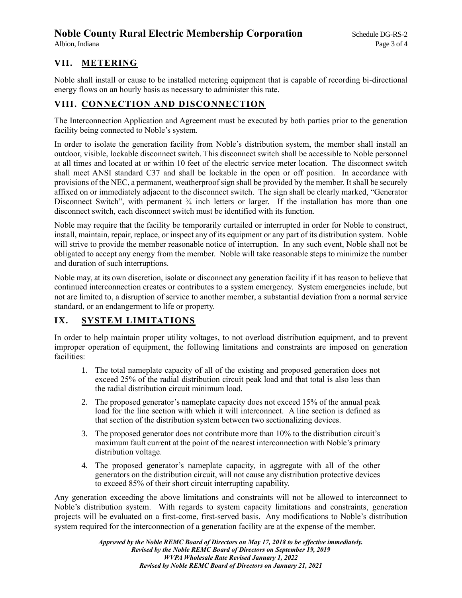# **Noble County Rural Electric Membership Corporation** Schedule DG-RS-2

# **VII. METERING**

Noble shall install or cause to be installed metering equipment that is capable of recording bi-directional energy flows on an hourly basis as necessary to administer this rate.

## **VIII. CONNECTION AND DISCONNECTION**

The Interconnection Application and Agreement must be executed by both parties prior to the generation facility being connected to Noble's system.

In order to isolate the generation facility from Noble's distribution system, the member shall install an outdoor, visible, lockable disconnect switch. This disconnect switch shall be accessible to Noble personnel at all times and located at or within 10 feet of the electric service meter location. The disconnect switch shall meet ANSI standard C37 and shall be lockable in the open or off position. In accordance with provisions of the NEC, a permanent, weatherproof sign shall be provided by the member. It shall be securely affixed on or immediately adjacent to the disconnect switch. The sign shall be clearly marked, "Generator Disconnect Switch", with permanent  $\frac{3}{4}$  inch letters or larger. If the installation has more than one disconnect switch, each disconnect switch must be identified with its function.

Noble may require that the facility be temporarily curtailed or interrupted in order for Noble to construct, install, maintain, repair, replace, or inspect any of its equipment or any part of its distribution system. Noble will strive to provide the member reasonable notice of interruption. In any such event, Noble shall not be obligated to accept any energy from the member. Noble will take reasonable steps to minimize the number and duration of such interruptions.

Noble may, at its own discretion, isolate or disconnect any generation facility if it has reason to believe that continued interconnection creates or contributes to a system emergency. System emergencies include, but not are limited to, a disruption of service to another member, a substantial deviation from a normal service standard, or an endangerment to life or property.

# **IX. SYSTEM LIMITATIONS**

In order to help maintain proper utility voltages, to not overload distribution equipment, and to prevent improper operation of equipment, the following limitations and constraints are imposed on generation facilities:

- 1. The total nameplate capacity of all of the existing and proposed generation does not exceed 25% of the radial distribution circuit peak load and that total is also less than the radial distribution circuit minimum load.
- 2. The proposed generator's nameplate capacity does not exceed 15% of the annual peak load for the line section with which it will interconnect. A line section is defined as that section of the distribution system between two sectionalizing devices.
- 3. The proposed generator does not contribute more than 10% to the distribution circuit's maximum fault current at the point of the nearest interconnection with Noble's primary distribution voltage.
- 4. The proposed generator's nameplate capacity, in aggregate with all of the other generators on the distribution circuit, will not cause any distribution protective devices to exceed 85% of their short circuit interrupting capability.

Any generation exceeding the above limitations and constraints will not be allowed to interconnect to Noble's distribution system. With regards to system capacity limitations and constraints, generation projects will be evaluated on a first-come, first-served basis. Any modifications to Noble's distribution system required for the interconnection of a generation facility are at the expense of the member.